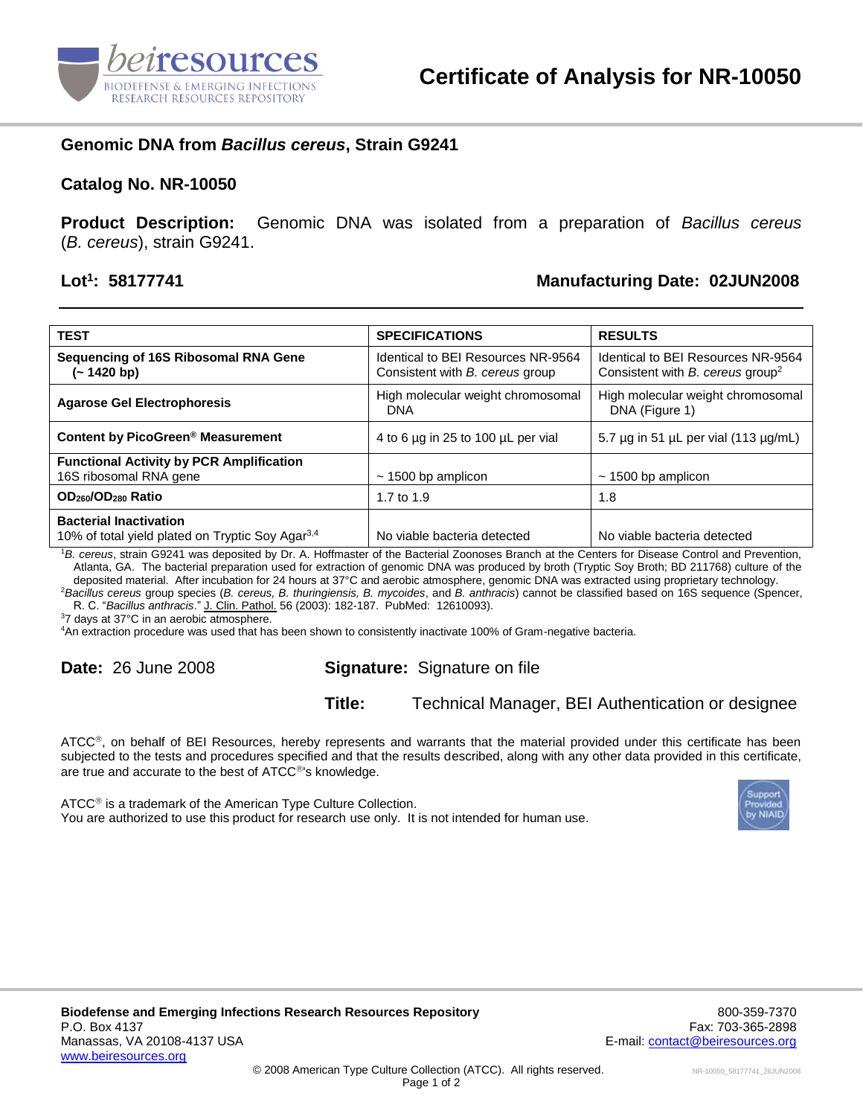

# **Genomic DNA from** *Bacillus cereus***, Strain G9241**

#### **Catalog No. NR-10050**

**Product Description:** Genomic DNA was isolated from a preparation of *Bacillus cereus* (*B. cereus*), strain G9241.

### Lot<sup>1</sup>: 58177741

# **: 58177741 Manufacturing Date: 02JUN2008**

| <b>TEST</b>                                                                                   | <b>SPECIFICATIONS</b>                                                 | <b>RESULTS</b>                                                                     |
|-----------------------------------------------------------------------------------------------|-----------------------------------------------------------------------|------------------------------------------------------------------------------------|
| Sequencing of 16S Ribosomal RNA Gene<br>(~ 1420 bp)                                           | Identical to BEI Resources NR-9564<br>Consistent with B. cereus group | Identical to BEI Resources NR-9564<br>Consistent with B. cereus group <sup>2</sup> |
| <b>Agarose Gel Electrophoresis</b>                                                            | High molecular weight chromosomal<br><b>DNA</b>                       | High molecular weight chromosomal<br>DNA (Figure 1)                                |
| Content by PicoGreen <sup>®</sup> Measurement                                                 | 4 to 6 µg in 25 to 100 µL per vial                                    | 5.7 $\mu$ g in 51 $\mu$ L per vial (113 $\mu$ g/mL)                                |
| <b>Functional Activity by PCR Amplification</b><br>16S ribosomal RNA gene                     | $\sim$ 1500 bp amplicon                                               | $\sim$ 1500 bp amplicon                                                            |
| OD <sub>260</sub> /OD <sub>280</sub> Ratio                                                    | 1.7 to 1.9                                                            | 1.8                                                                                |
| <b>Bacterial Inactivation</b><br>10% of total yield plated on Tryptic Soy Agar <sup>3,4</sup> | No viable bacteria detected                                           | No viable bacteria detected                                                        |

<sup>1</sup>*B. cereus*, strain G9241 was deposited by Dr. A. Hoffmaster of the Bacterial Zoonoses Branch at the Centers for Disease Control and Prevention, Atlanta, GA. The bacterial preparation used for extraction of genomic DNA was produced by broth (Tryptic Soy Broth; BD 211768) culture of the deposited material. After incubation for 24 hours at 37°C and aerobic atmosphere, genomic DNA was extracted using proprietary technology.

<sup>2</sup>*Bacillus cereus* group species (*B. cereus, B. thuringiensis, B. mycoides*, and *B. anthracis*) cannot be classified based on 16S sequence (Spencer, R. C. "*Bacillus anthracis*." J. Clin. Pathol. 56 (2003): 182-187. PubMed: 12610093).

<sup>3</sup>7 days at 37°C in an aerobic atmosphere.

<sup>4</sup>An extraction procedure was used that has been shown to consistently inactivate 100% of Gram-negative bacteria.

# **Date:** 26 June 2008 **Signature:** Signature on file

### **Title:** Technical Manager, BEI Authentication or designee

ATCC®, on behalf of BEI Resources, hereby represents and warrants that the material provided under this certificate has been subjected to the tests and procedures specified and that the results described, along with any other data provided in this certificate, are true and accurate to the best of ATCC<sup>®'</sup>s knowledge.

 $ATCC<sup>®</sup>$  is a trademark of the American Type Culture Collection. You are authorized to use this product for research use only. It is not intended for human use.